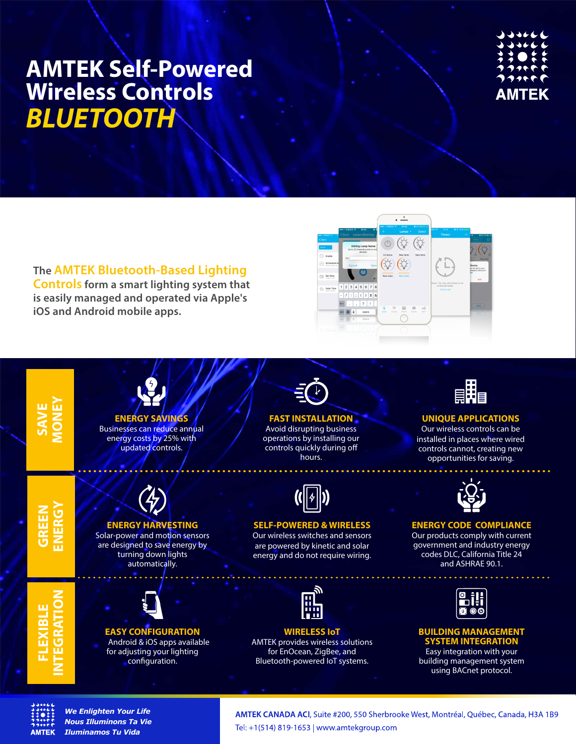

**The AMTEK Bluetooth-Based Lighting Controls form a smart lighting system that is easily managed and operated via Apple's iOS and Android mobile apps.**







*We Enlighten Your Life Nous Illuminons Ta Vie Iluminamos Tu Vida*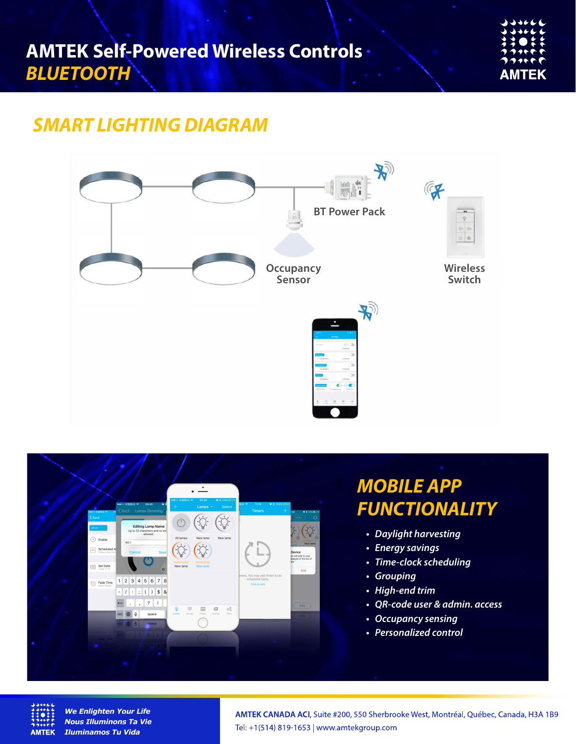| JJJ66                                                    |
|----------------------------------------------------------|
| $\rightarrow$ $\rightarrow$ ++ $\leftarrow$ $\leftarrow$ |
| ネネ●キキ                                                    |
| ククリャヤヤ                                                   |
| つつっゃゃや                                                   |
| AMTEK                                                    |

## *SMART LIGHTING DIAGRAM*







*We Enlighten Your Life Nous Illuminons Ta Vie Iluminamos Tu Vida*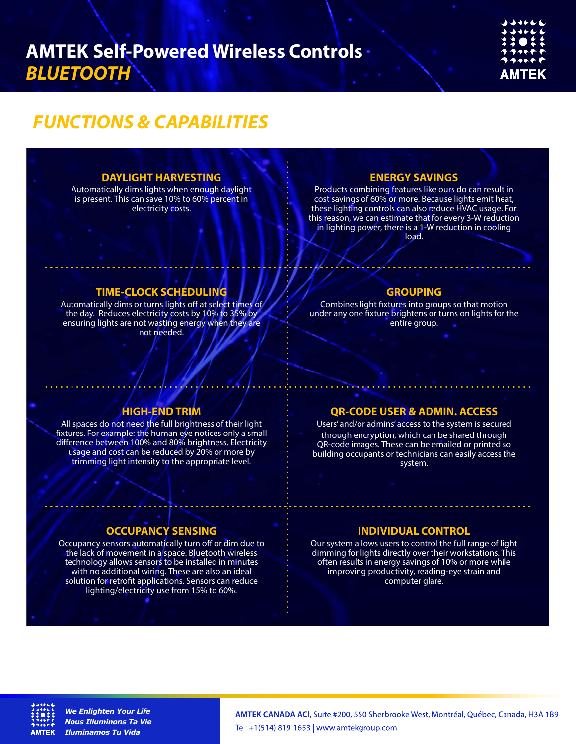## *FUNCTIONS & CAPABILITIES*

## **DAYLIGHT HARVESTING**

Automatically dims lights when enough daylight is present. This can save 10% to 60% percent in electricity costs.

## **ENERGY SAVINGS**

Products combining features like ours do can result in cost savings of 60% or more. Because lights emit heat, these lighting controls can also reduce HVAC usage. For this reason, we can estimate that for every 3-W reduction in lighting power, there is a 1-W reduction in cooling load.

## **TIME-CLOCK SCHEDULING**

Automatically dims or turns lights off at select times of the day. Reduces electricity costs by 10% to 35% by ensuring lights are not wasting energy when they are not needed.

#### **GROUPING**

Combines light fixtures into groups so that motion under any one fixture brightens or turns on lights for the entire group.

## **HIGH-END TRIM**

All spaces do not need the full brightness of their light fixtures. For example: the human eye notices only a small difference between 100% and 80% brightness. Electricity usage and cost can be reduced by 20% or more by trimming light intensity to the appropriate level.

## **QR-CODE USER & ADMIN. ACCESS**

. . . . . . . . . . . . . . . .

Users' and/or admins' access to the system is secured through encryption, which can be shared through QR-code images. These can be emailed or printed so building occupants or technicians can easily access the system.

## **OCCUPANCY SENSING**

Occupancy sensors automatically turn off or dim due to the lack of movement in a space. Bluetooth wireless technology allows sensors to be installed in minutes with no additional wiring. These are also an ideal solution for retrofit applications. Sensors can reduce lighting/electricity use from 15% to 60%.

#### **INDIVIDUAL CONTROL**

Our system allows users to control the full range of light dimming for lights directly over their workstations. This often results in energy savings of 10% or more while improving productivity, reading-eye strain and computer glare.



*We Enlighten Your Life Nous Illuminons Ta Vie Iluminamos Tu Vida*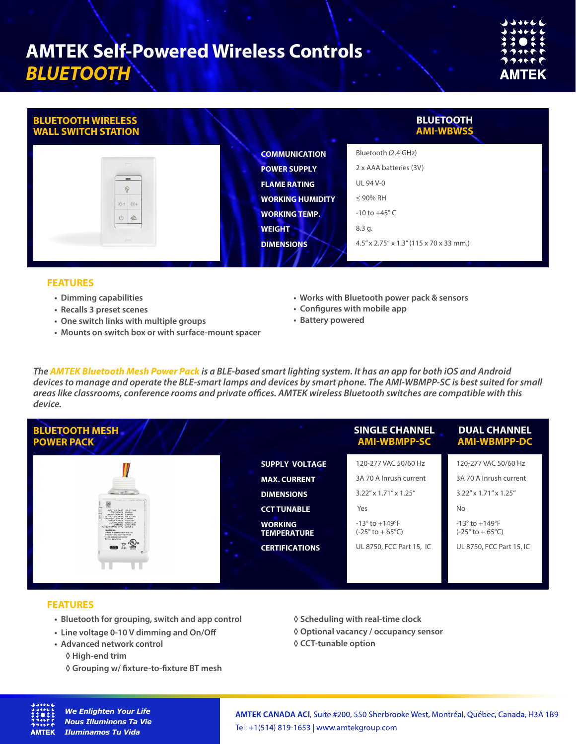| JJJ666<br>999666 |
|------------------|
| <b>;;o::</b>     |
| ククリャヤヤ<br>つつづって  |
| AMTEK            |

| <b>BLUETOOTH WIRELESS</b><br><b>WALL SWITCH STATION</b> |                         | <b>BLUETOOTH</b><br><b>AMI-WBWSS</b>    |
|---------------------------------------------------------|-------------------------|-----------------------------------------|
|                                                         | <b>COMMUNICATION</b>    | Bluetooth (2.4 GHz)                     |
|                                                         | <b>POWER SUPPLY</b>     | 2 x AAA batteries (3V)                  |
| $\qquad \qquad \blacksquare$<br>$\odot$                 | <b>FLAME RATING</b>     | UL 94 V-0                               |
| 茶 茶                                                     | <b>WORKING HUMIDITY</b> | $\leq$ 90% RH                           |
| $\frac{\partial N}{\partial x}$<br>$\cup$               | <b>WORKING TEMP.</b>    | $-10$ to $+45^{\circ}$ C                |
|                                                         | <b>WEIGHT</b>           | 8.3 g.                                  |
|                                                         | <b>DIMENSIONS</b>       | 4.5" x 2.75" x 1.3" (115 x 70 x 33 mm.) |
|                                                         |                         |                                         |

#### **FEATURES**

- **• Dimming capabilities**
- **• Recalls 3 preset scenes**
- **• One switch links with multiple groups**
- **• Mounts on switch box or with surface-mount spacer**
- **Works with Bluetooth power pack & sensors**
- **Configures with mobile app**
- **Battery powered**

*The AMTEK Bluetooth Mesh Power Pack is a BLE-based smart lighting system. It has an app for both iOS and Android devices to manage and operate the BLE-smart lamps and devices by smart phone. The AMI-WBMPP-SC is best suited for small areas like classrooms, conference rooms and private oces. AMTEK wireless Bluetooth switches are compatible with this device.*

| <b>BLUETOOTH MESH</b><br><b>POWER PACK</b>                                                                                                                                                                                                                        |                                      | <b>SINGLE CHANNEL</b><br><b>AMI-WBMPP-SC</b>                           | <b>DUAL CHANNEL</b><br><b>AMI-WBMPP-DC</b>                                 |
|-------------------------------------------------------------------------------------------------------------------------------------------------------------------------------------------------------------------------------------------------------------------|--------------------------------------|------------------------------------------------------------------------|----------------------------------------------------------------------------|
|                                                                                                                                                                                                                                                                   | <b>SUPPLY VOLTAGE</b>                | 120-277 VAC 50/60 Hz                                                   | 120-277 VAC 50/60 Hz                                                       |
|                                                                                                                                                                                                                                                                   | <b>MAX. CURRENT</b>                  | 3A 70 A Inrush current                                                 | 3A 70 A Inrush current                                                     |
| $\sim$ (with $\sim$<br>construction constant professional                                                                                                                                                                                                         | <b>DIMENSIONS</b>                    | $3.22'' \times 1.71'' \times 1.25''$                                   | 3.22" x 1.71" x 1.25"                                                      |
| 圖<br><b>ANTES</b><br>INPUT VOLTAGE 120-277 VAC<br>FREQUENCY SO/EDIA<br>INPUT CURRENT 2.5AMax                                                                                                                                                                      | <b>CCT TUNABLE</b>                   | Yes                                                                    | <b>No</b>                                                                  |
| OUTPUT VOLTAGE 120-277VAC<br>OUTPUT POWER 300W Max<br>AUX VOLTAGE 12VDC/0.2A<br>DIMMING 0-10V PWM<br>AUX&DINMMING TYPE CLASS 2<br><b>WARNING</b><br>Install in accordance with the<br>national and local electrical<br>code, disconnect power<br>hafnes satyleinn | <b>WORKING</b><br><b>TEMPERATURE</b> | $-13^{\circ}$ to $+149^{\circ}F$<br>$(-25^{\circ}$ to $+65^{\circ}$ C) | $-13^{\circ}$ to $+149^{\circ}$ F<br>(-25 $^{\circ}$ to + 65 $^{\circ}$ C) |
| շ(ԿUյա<br>Ó<br>$\frac{\text{EVAL}}{\text{EVAL}}$<br>40                                                                                                                                                                                                            | <b>CERTIFICATIONS</b>                | UL 8750, FCC Part 15, IC                                               | UL 8750, FCC Part 15, IC                                                   |
|                                                                                                                                                                                                                                                                   |                                      |                                                                        |                                                                            |

### **FEATURES**

- **Bluetooth for grouping, switch and app control**
- **Line voltage 0-10 V dimming and On/Off**
- **Advanced network control** 
	- **◊ High-end trim**
	- **◊ Grouping w/ fixture-to-fixture BT mesh**
- **◊ Scheduling with real-time clock**
- **◊ Optional vacancy / occupancy sensor**
- **◊ CCT-tunable option**



*We Enlighten Your Life Nous Illuminons Ta Vie Iluminamos Tu Vida*